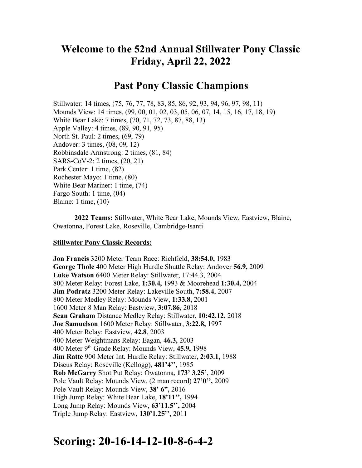# **Welcome to the 52nd Annual Stillwater Pony Classic Friday, April 22, 2022**

## **Past Pony Classic Champions**

Stillwater: 14 times, (75, 76, 77, 78, 83, 85, 86, 92, 93, 94, 96, 97, 98, 11) Mounds View: 14 times, (99, 00, 01, 02, 03, 05, 06, 07, 14, 15, 16, 17, 18, 19) White Bear Lake: 7 times, (70, 71, 72, 73, 87, 88, 13) Apple Valley: 4 times, (89, 90, 91, 95) North St. Paul: 2 times, (69, 79) Andover: 3 times, (08, 09, 12) Robbinsdale Armstrong: 2 times, (81, 84) SARS-CoV-2: 2 times, (20, 21) Park Center: 1 time, (82) Rochester Mayo: 1 time, (80) White Bear Mariner: 1 time, (74) Fargo South: 1 time, (04) Blaine: 1 time, (10)

**2022 Teams:** Stillwater, White Bear Lake, Mounds View, Eastview, Blaine, Owatonna, Forest Lake, Roseville, Cambridge-Isanti

#### **Stillwater Pony Classic Records:**

**Jon Francis** 3200 Meter Team Race: Richfield, **38:54.0,** 1983 **George Thole** 400 Meter High Hurdle Shuttle Relay: Andover **56.9,** 2009 **Luke Watson** 6400 Meter Relay: Stillwater, 17:44.3, 2004 800 Meter Relay: Forest Lake, **1:30.4,** 1993 & Moorehead **1:30.4,** 2004 **Jim Podratz** 3200 Meter Relay: Lakeville South, **7:58.4**, 2007 800 Meter Medley Relay: Mounds View, **1:33.8,** 2001 1600 Meter 8 Man Relay: Eastview, **3:07.86,** 2018 **Sean Graham** Distance Medley Relay: Stillwater, **10:42.12,** 2018 **Joe Samuelson** 1600 Meter Relay: Stillwater, **3:22.8,** 1997 400 Meter Relay: Eastview, **42.8**, 2003 400 Meter Weightmans Relay: Eagan, **46.3,** 2003 400 Meter 9th Grade Relay: Mounds View, **45.9,** 1998 **Jim Ratte** 900 Meter Int. Hurdle Relay: Stillwater, **2:03.1,** 1988 Discus Relay: Roseville (Kellogg), **481'4'',** 1985 **Rob McGarry** Shot Put Relay: Owatonna, **173' 3.25'**, 2009 Pole Vault Relay: Mounds View, (2 man record) **27'0'',** 2009 Pole Vault Relay: Mounds View, **38' 6",** 2016 High Jump Relay: White Bear Lake, **18'11'',** 1994 Long Jump Relay: Mounds View, **63'11.5'',** 2004 Triple Jump Relay: Eastview, **130'1.25'',** 2011

# **Scoring: 20-16-14-12-10-8-6-4-2**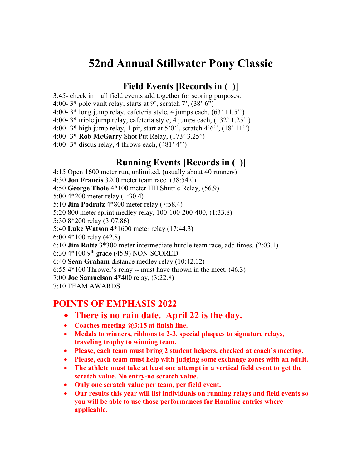# **52nd Annual Stillwater Pony Classic**

## **Field Events [Records in ( )]**

3:45- check in—all field events add together for scoring purposes.

4:00-  $3*$  pole vault relay; starts at 9', scratch 7',  $(38' 6'')$ 

4:00- 3\* long jump relay, cafeteria style, 4 jumps each, (63' 11.5'')

4:00- 3\* triple jump relay, cafeteria style, 4 jumps each, (132' 1.25'')

4:00- 3\* high jump relay, 1 pit, start at 5'0'', scratch 4'6'', (18' 11'')

4:00- 3\* **Rob McGarry** Shot Put Relay, (173' 3.25")

4:00-  $3*$  discus relay, 4 throws each,  $(481' 4'')$ 

## **Running Events [Records in ( )]**

4:15 Open 1600 meter run, unlimited, (usually about 40 runners)

4:30 **Jon Francis** 3200 meter team race (38:54.0)

4:50 **George Thole** 4\*100 meter HH Shuttle Relay, (56.9)

5:00 4\*200 meter relay (1:30.4)

5:10 **Jim Podratz** 4\*800 meter relay (7:58.4)

5:20 800 meter sprint medley relay, 100-100-200-400, (1:33.8)

5:30 8\*200 relay (3:07.86)

5:40 **Luke Watson** 4\*1600 meter relay (17:44.3)

6:00 4\*100 relay (42.8)

6:10 **Jim Ratte** 3\*300 meter intermediate hurdle team race, add times. (2:03.1)

6:30 4\*100 9th grade (45.9) NON-SCORED

6:40 **Sean Graham** distance medley relay (10:42.12)

6:55 4\*100 Thrower's relay -- must have thrown in the meet. (46.3)

7:00 **Joe Samuelson** 4\*400 relay, (3:22.8)

7:10 TEAM AWARDS

## **POINTS OF EMPHASIS 2022**

## • **There is no rain date. April 22 is the day.**

- **Coaches meeting @3:15 at finish line.**
- **Medals to winners, ribbons to 2-3, special plaques to signature relays, traveling trophy to winning team.**
- **Please, each team must bring 2 student helpers, checked at coach's meeting.**
- **Please, each team must help with judging some exchange zones with an adult.**
- **The athlete must take at least one attempt in a vertical field event to get the scratch value. No entry-no scratch value.**
- **Only one scratch value per team, per field event.**
- **Our results this year will list individuals on running relays and field events so you will be able to use those performances for Hamline entries where applicable.**